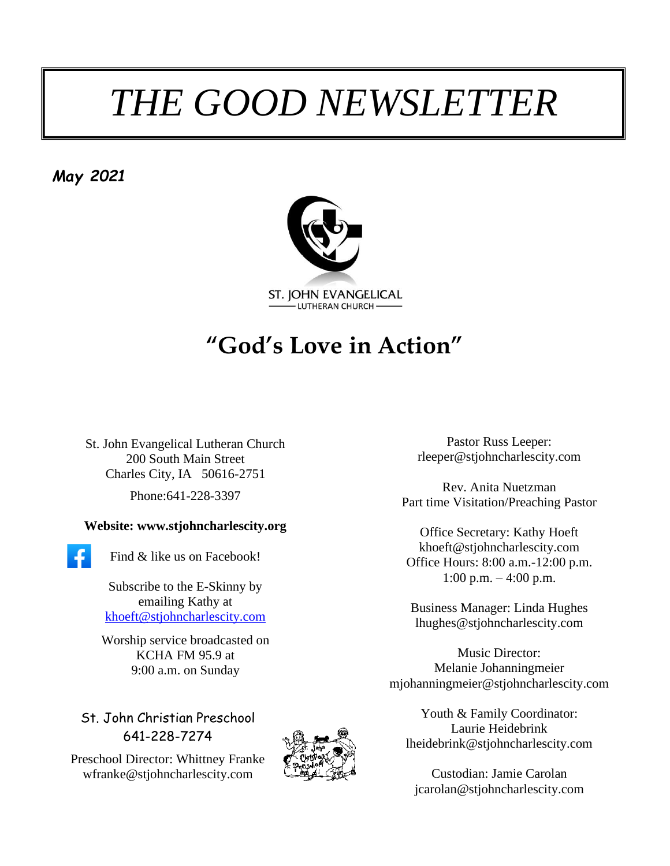# *THE GOOD NEWSLETTER*

*May 2021*



# **"God's Love in Action"**

St. John Evangelical Lutheran Church 200 South Main Street Charles City, IA 50616-2751 Phone:641-228-3397

#### **Website: www.stjohncharlescity.org**

Find & like us on Facebook!

Subscribe to the E-Skinny by emailing Kathy at [khoeft@stjohncharlescity.com](mailto:khoeft@stjohncharlescity.com)

Worship service broadcasted on KCHA FM 95.9 at 9:00 a.m. on Sunday

St. John Christian Preschool 641-228-7274

Preschool Director: Whittney Franke [wfranke@stjohncharlescity.com](mailto:wfranke@stjohncharlescity.com)



Pastor Russ Leeper: [rleeper@stjohncharlescity.com](mailto:rleeper@stjohncharlescity.com)

Rev. Anita Nuetzman Part time Visitation/Preaching Pastor

Office Secretary: Kathy Hoeft [khoeft@stjohncharlescity.com](mailto:khoeft@stjohncharlescity.com) Office Hours: 8:00 a.m.-12:00 p.m. 1:00 p.m.  $-4:00$  p.m.

Business Manager: Linda Hughes lhughes@stjohncharlescity.com

Music Director: Melanie Johanningmeier [mjohanningmeier@stjohncharlescity.com](mailto:mjohanningmeier@stjohncharlescity.com)

Youth & Family Coordinator: Laurie Heidebrink [lheidebrink@stjohncharlescity.com](mailto:lheidebrink@stjohncharlescity.com)

Custodian: Jamie Carolan [jcarolan@stjohncharlescity.com](mailto:jcarolan@stjohncharlescity.com)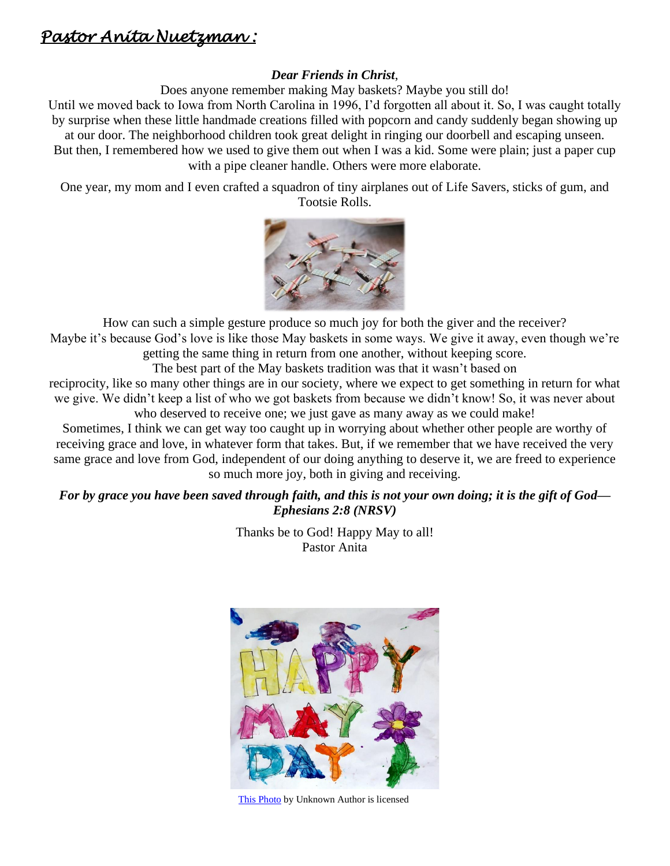### *Pastor Anita Nuetzman :*

#### *Dear Friends in Christ*,

Does anyone remember making May baskets? Maybe you still do!

Until we moved back to Iowa from North Carolina in 1996, I'd forgotten all about it. So, I was caught totally by surprise when these little handmade creations filled with popcorn and candy suddenly began showing up at our door. The neighborhood children took great delight in ringing our doorbell and escaping unseen. But then, I remembered how we used to give them out when I was a kid. Some were plain; just a paper cup

with a pipe cleaner handle. Others were more elaborate.

One year, my mom and I even crafted a squadron of tiny airplanes out of Life Savers, sticks of gum, and Tootsie Rolls.



How can such a simple gesture produce so much joy for both the giver and the receiver? Maybe it's because God's love is like those May baskets in some ways. We give it away, even though we're getting the same thing in return from one another, without keeping score.

The best part of the May baskets tradition was that it wasn't based on

reciprocity, like so many other things are in our society, where we expect to get something in return for what we give. We didn't keep a list of who we got baskets from because we didn't know! So, it was never about who deserved to receive one; we just gave as many away as we could make!

Sometimes, I think we can get way too caught up in worrying about whether other people are worthy of receiving grace and love, in whatever form that takes. But, if we remember that we have received the very same grace and love from God, independent of our doing anything to deserve it, we are freed to experience so much more joy, both in giving and receiving.

#### *For by grace you have been saved through faith, and this is not your own doing; it is the gift of God— Ephesians 2:8 (NRSV)*

Thanks be to God! Happy May to all! Pastor Anita



[This Photo](http://flickr.com/photos/editor/6985487136) by Unknown Author is licensed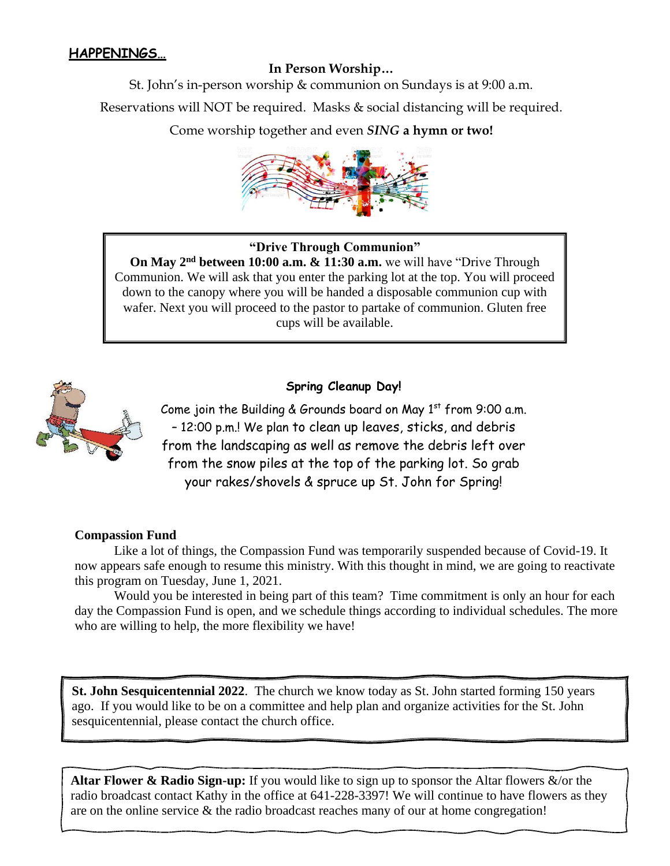#### **HAPPENINGS…**

#### **In Person Worship…**

St. John's in-person worship & communion on Sundays is at 9:00 a.m.

Reservations will NOT be required. Masks & social distancing will be required.

Come worship together and even *SING* **a hymn or two!**



#### **"Drive Through Communion"**

**On May 2nd between 10:00 a.m. & 11:30 a.m.** we will have "Drive Through Communion. We will ask that you enter the parking lot at the top. You will proceed down to the canopy where you will be handed a disposable communion cup with wafer. Next you will proceed to the pastor to partake of communion. Gluten free cups will be available.



#### **Spring Cleanup Day!**

Come join the Building & Grounds board on May  $1<sup>st</sup>$  from 9:00 a.m. – 12:00 p.m.! We plan to clean up leaves, sticks, and debris from the landscaping as well as remove the debris left over from the snow piles at the top of the parking lot. So grab your rakes/shovels & spruce up St. John for Spring!

#### **Compassion Fund**

Like a lot of things, the Compassion Fund was temporarily suspended because of Covid-19. It now appears safe enough to resume this ministry. With this thought in mind, we are going to reactivate this program on Tuesday, June 1, 2021.

Would you be interested in being part of this team? Time commitment is only an hour for each day the Compassion Fund is open, and we schedule things according to individual schedules. The more who are willing to help, the more flexibility we have!

**St. John Sesquicentennial 2022**. The church we know today as St. John started forming 150 years ago. If you would like to be on a committee and help plan and organize activities for the St. John sesquicentennial, please contact the church office.

**Altar Flower & Radio Sign-up:** If you would like to sign up to sponsor the Altar flowers &/or the radio broadcast contact Kathy in the office at 641-228-3397! We will continue to have flowers as they are on the online service  $\&$  the radio broadcast reaches many of our at home congregation!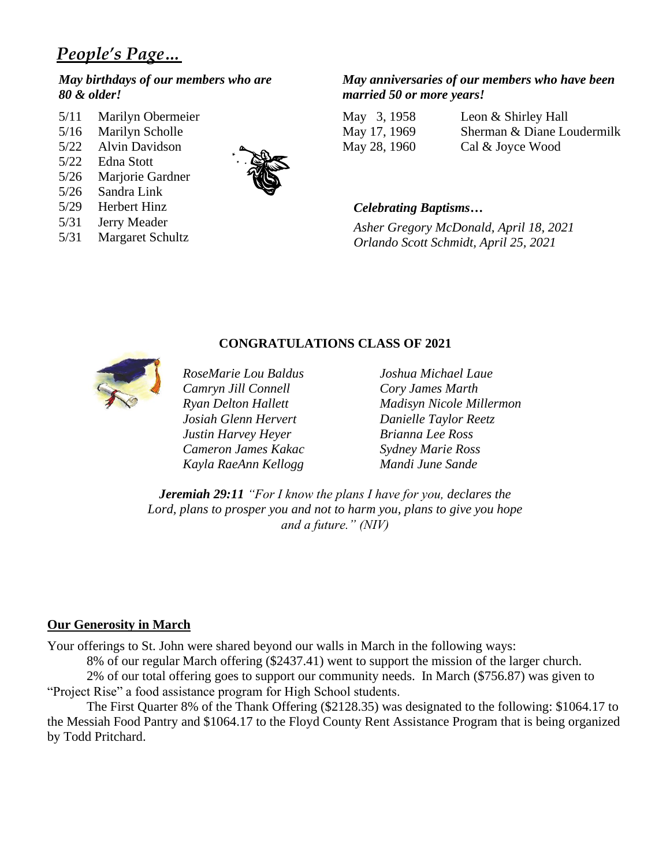## *People's Page…*

#### *May birthdays of our members who are 80 & older!*

- 5/11 Marilyn Obermeier
- 5/16 Marilyn Scholle
- 5/22 Alvin Davidson
- 5/22 Edna Stott
- 5/26 Marjorie Gardner
- 5/26 Sandra Link
- 5/29 Herbert Hinz
- 5/31 Jerry Meader
- 5/31 Margaret Schultz



#### *May anniversaries of our members who have been married 50 or more years!*

May 3, 1958 Leon & Shirley Hall May 17, 1969 Sherman & Diane Loudermilk May 28, 1960 Cal & Joyce Wood

#### *Celebrating Baptisms…*

*Asher Gregory McDonald, April 18, 2021 Orlando Scott Schmidt, April 25, 2021*



*Camryn Jill Connell Cory James Marth Josiah Glenn Hervert Danielle Taylor Reetz Justin Harvey Heyer Brianna Lee Ross Cameron James Kakac Sydney Marie Ross Kayla RaeAnn Kellogg Mandi June Sande*

*RoseMarie Lou Baldus Joshua Michael Laue Ryan Delton Hallett Madisyn Nicole Millermon*

*Jeremiah 29:11 "For I know the plans I have for you, declares the Lord, plans to prosper you and not to harm you, plans to give you hope and a future." (NIV)*

**CONGRATULATIONS CLASS OF 2021**

#### **Our Generosity in March**

Your offerings to St. John were shared beyond our walls in March in the following ways:

8% of our regular March offering (\$2437.41) went to support the mission of the larger church. 2% of our total offering goes to support our community needs. In March (\$756.87) was given to

"Project Rise" a food assistance program for High School students.

The First Quarter 8% of the Thank Offering (\$2128.35) was designated to the following: \$1064.17 to the Messiah Food Pantry and \$1064.17 to the Floyd County Rent Assistance Program that is being organized by Todd Pritchard.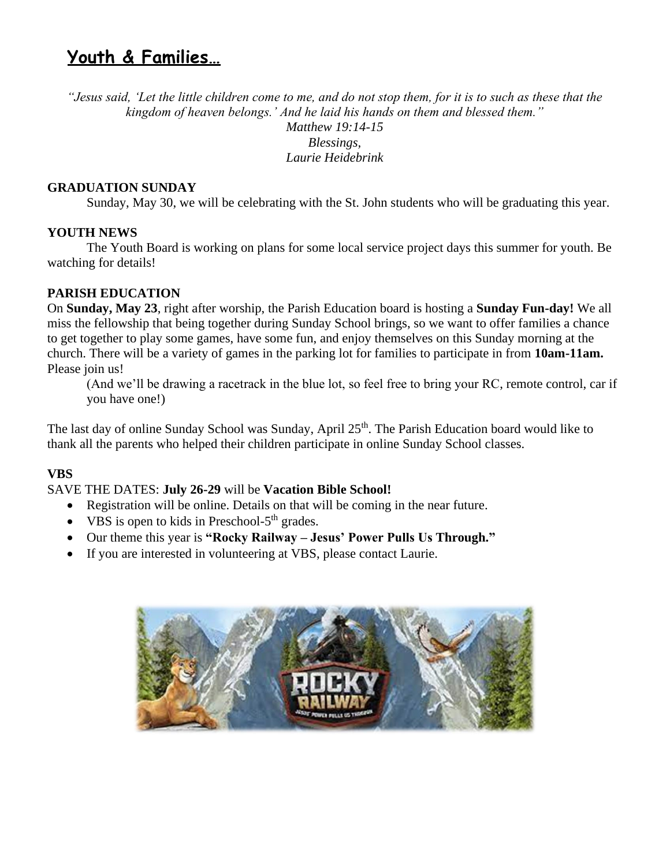# **Youth & Families…**

*"Jesus said, 'Let the little children come to me, and do not stop them, for it is to such as these that the kingdom of heaven belongs.' And he laid his hands on them and blessed them." Matthew 19:14-15 Blessings,*

*Laurie Heidebrink*

#### **GRADUATION SUNDAY**

Sunday, May 30, we will be celebrating with the St. John students who will be graduating this year.

#### **YOUTH NEWS**

The Youth Board is working on plans for some local service project days this summer for youth. Be watching for details!

#### **PARISH EDUCATION**

On **Sunday, May 23**, right after worship, the Parish Education board is hosting a **Sunday Fun-day!** We all miss the fellowship that being together during Sunday School brings, so we want to offer families a chance to get together to play some games, have some fun, and enjoy themselves on this Sunday morning at the church. There will be a variety of games in the parking lot for families to participate in from **10am-11am.** Please join us!

(And we'll be drawing a racetrack in the blue lot, so feel free to bring your RC, remote control, car if you have one!)

The last day of online Sunday School was Sunday, April 25<sup>th</sup>. The Parish Education board would like to thank all the parents who helped their children participate in online Sunday School classes.

#### **VBS**

#### SAVE THE DATES: **July 26-29** will be **Vacation Bible School!**

- Registration will be online. Details on that will be coming in the near future.
- VBS is open to kids in Preschool- $5<sup>th</sup>$  grades.
- Our theme this year is **"Rocky Railway – Jesus' Power Pulls Us Through."**
- If you are interested in volunteering at VBS, please contact Laurie.

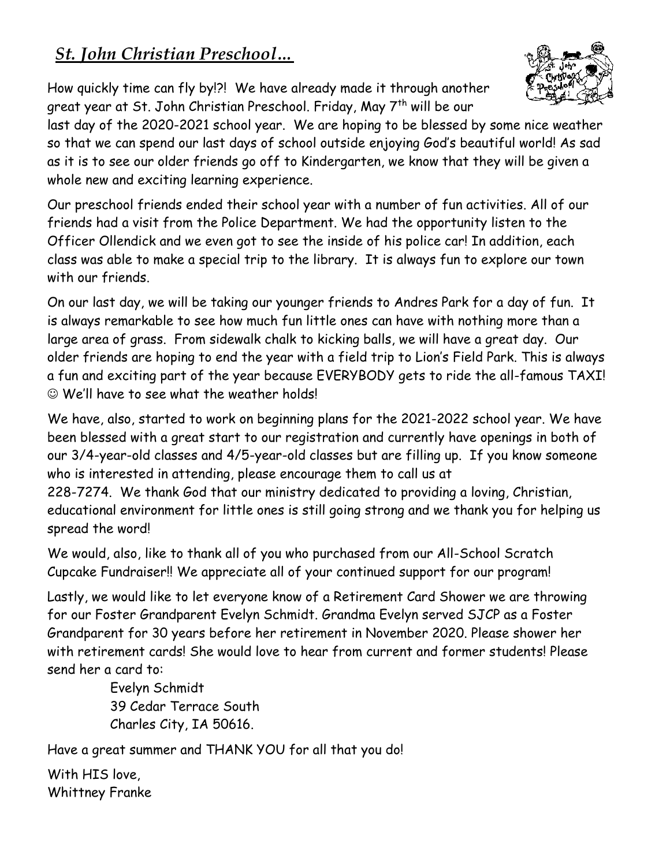# *St. John Christian Preschool…*

How quickly time can fly by!?! We have already made it through another great year at St. John Christian Preschool. Friday, May 7<sup>th</sup> will be our



last day of the 2020-2021 school year. We are hoping to be blessed by some nice weather so that we can spend our last days of school outside enjoying God's beautiful world! As sad as it is to see our older friends go off to Kindergarten, we know that they will be given a whole new and exciting learning experience.

Our preschool friends ended their school year with a number of fun activities. All of our friends had a visit from the Police Department. We had the opportunity listen to the Officer Ollendick and we even got to see the inside of his police car! In addition, each class was able to make a special trip to the library. It is always fun to explore our town with our friends.

On our last day, we will be taking our younger friends to Andres Park for a day of fun. It is always remarkable to see how much fun little ones can have with nothing more than a large area of grass. From sidewalk chalk to kicking balls, we will have a great day. Our older friends are hoping to end the year with a field trip to Lion's Field Park. This is always a fun and exciting part of the year because EVERYBODY gets to ride the all-famous TAXI! ☺ We'll have to see what the weather holds!

We have, also, started to work on beginning plans for the 2021-2022 school year. We have been blessed with a great start to our registration and currently have openings in both of our 3/4-year-old classes and 4/5-year-old classes but are filling up. If you know someone who is interested in attending, please encourage them to call us at

228-7274. We thank God that our ministry dedicated to providing a loving, Christian, educational environment for little ones is still going strong and we thank you for helping us spread the word!

We would, also, like to thank all of you who purchased from our All-School Scratch Cupcake Fundraiser!! We appreciate all of your continued support for our program!

Lastly, we would like to let everyone know of a Retirement Card Shower we are throwing for our Foster Grandparent Evelyn Schmidt. Grandma Evelyn served SJCP as a Foster Grandparent for 30 years before her retirement in November 2020. Please shower her with retirement cards! She would love to hear from current and former students! Please send her a card to:

> Evelyn Schmidt 39 Cedar Terrace South Charles City, IA 50616.

Have a great summer and THANK YOU for all that you do!

With HIS love, Whittney Franke